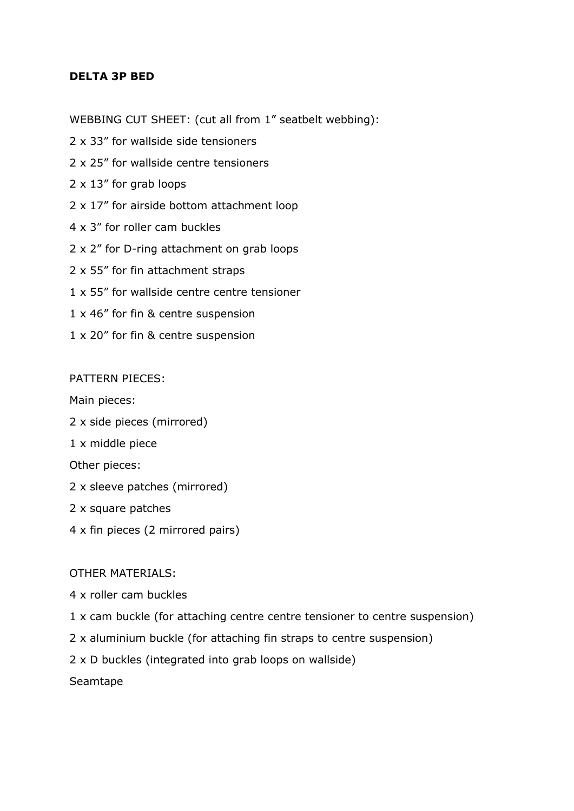## **DELTA 3P BED**

WEBBING CUT SHEET: (cut all from 1" seatbelt webbing):

- 2 x 33" for wallside side tensioners
- 2 x 25" for wallside centre tensioners
- 2 x 13" for grab loops
- 2 x 17" for airside bottom attachment loop
- 4 x 3" for roller cam buckles
- 2 x 2" for D-ring attachment on grab loops
- 2 x 55" for fin attachment straps
- 1 x 55" for wallside centre centre tensioner
- 1 x 46" for fin & centre suspension
- 1 x 20" for fin & centre suspension

## PATTERN PIECES:

Main pieces:

- 2 x side pieces (mirrored)
- 1 x middle piece

Other pieces:

- 2 x sleeve patches (mirrored)
- 2 x square patches
- 4 x fin pieces (2 mirrored pairs)

## OTHER MATERIALS:

- 4 x roller cam buckles
- 1 x cam buckle (for attaching centre centre tensioner to centre suspension)
- 2 x aluminium buckle (for attaching fin straps to centre suspension)
- 2 x D buckles (integrated into grab loops on wallside)

Seamtape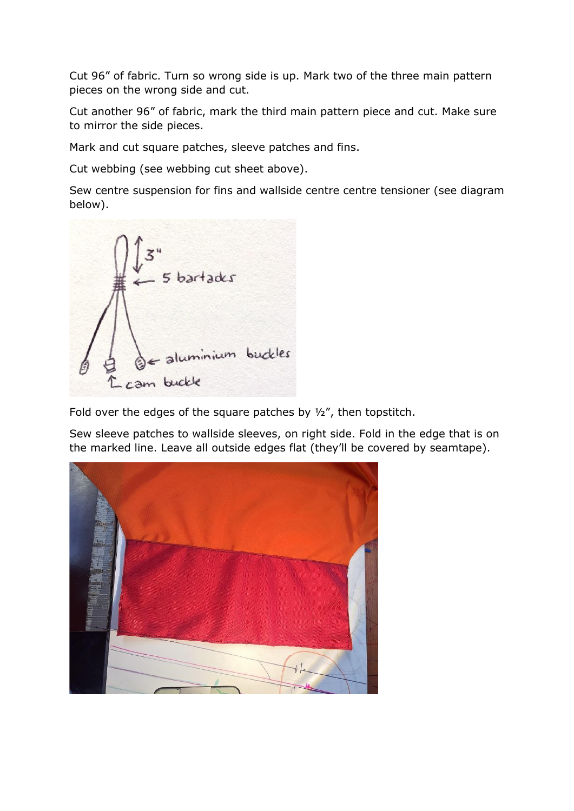Cut 96" of fabric. Turn so wrong side is up. Mark two of the three main pattern pieces on the wrong side and cut.

Cut another 96" of fabric, mark the third main pattern piece and cut. Make sure to mirror the side pieces.

Mark and cut square patches, sleeve patches and fins.

Cut webbing (see webbing cut sheet above).

Sew centre suspension for fins and wallside centre centre tensioner (see diagram below).



Fold over the edges of the square patches by  $\frac{1}{2}$ , then topstitch.

Sew sleeve patches to wallside sleeves, on right side. Fold in the edge that is on the marked line. Leave all outside edges flat (they'll be covered by seamtape).

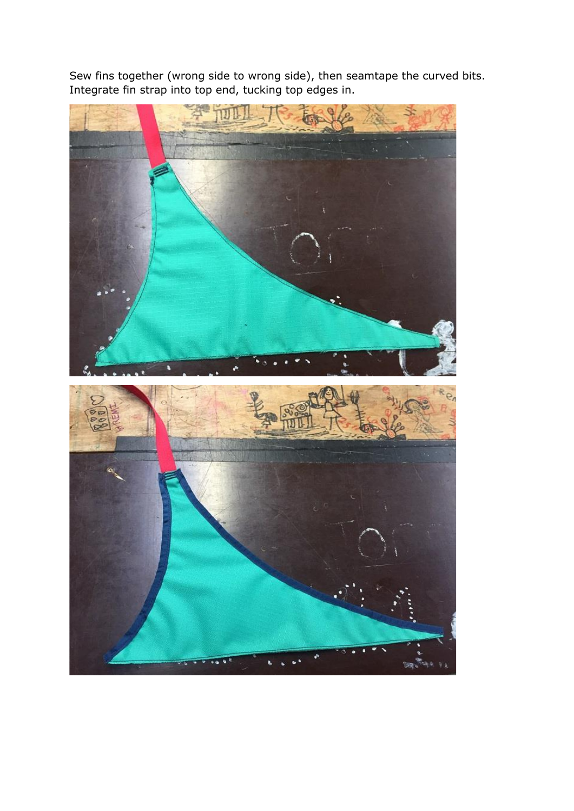Sew fins together (wrong side to wrong side), then seamtape the curved bits. Integrate fin strap into top end, tucking top edges in.

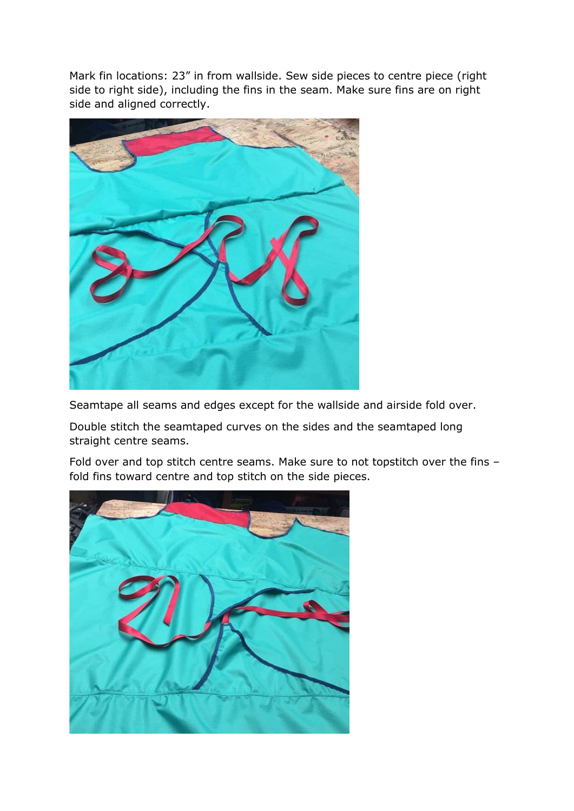Mark fin locations: 23" in from wallside. Sew side pieces to centre piece (right side to right side), including the fins in the seam. Make sure fins are on right side and aligned correctly.



Seamtape all seams and edges except for the wallside and airside fold over.

Double stitch the seamtaped curves on the sides and the seamtaped long straight centre seams.

Fold over and top stitch centre seams. Make sure to not topstitch over the fins – fold fins toward centre and top stitch on the side pieces.

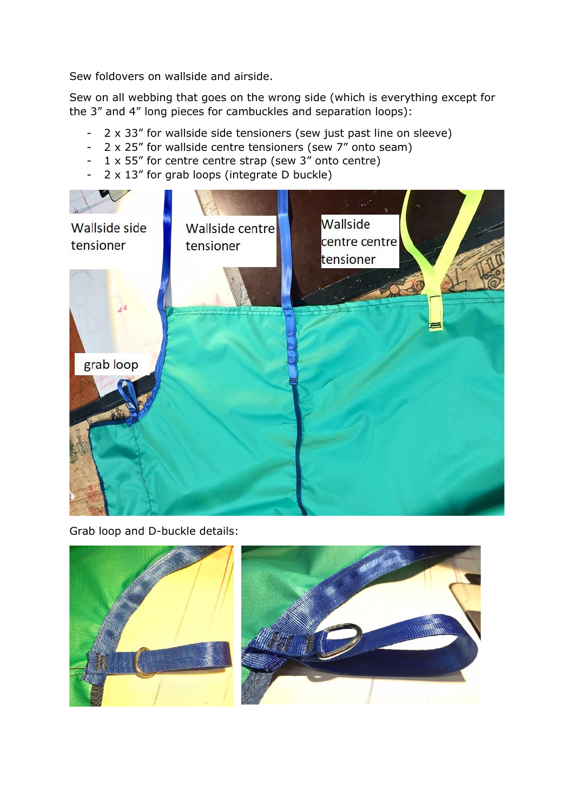Sew foldovers on wallside and airside.

Sew on all webbing that goes on the wrong side (which is everything except for the 3" and 4" long pieces for cambuckles and separation loops):

- 2 x 33" for wallside side tensioners (sew just past line on sleeve)
- 2 x 25" for wallside centre tensioners (sew 7" onto seam)
- 1 x 55" for centre centre strap (sew 3" onto centre)
- 2 x 13" for grab loops (integrate D buckle)



Grab loop and D-buckle details:

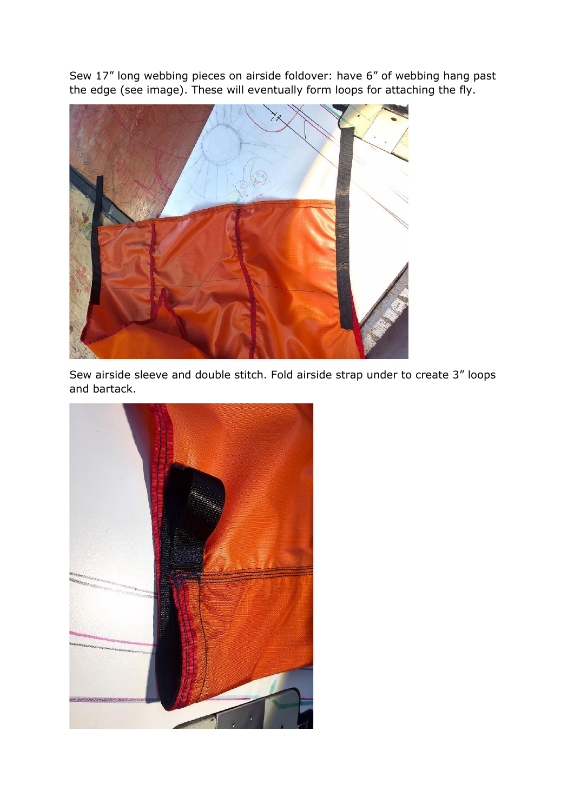Sew 17" long webbing pieces on airside foldover: have 6" of webbing hang past the edge (see image). These will eventually form loops for attaching the fly.



Sew airside sleeve and double stitch. Fold airside strap under to create 3" loops and bartack.

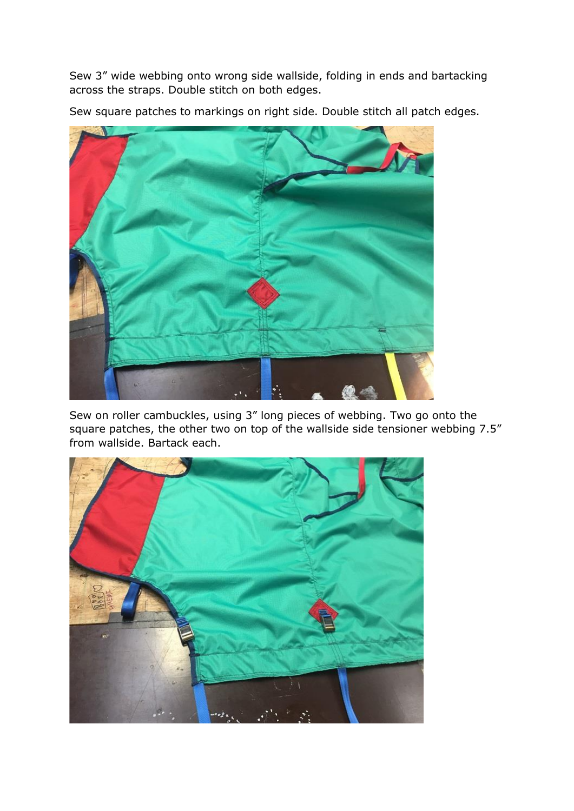Sew 3" wide webbing onto wrong side wallside, folding in ends and bartacking across the straps. Double stitch on both edges.

Sew square patches to markings on right side. Double stitch all patch edges.



Sew on roller cambuckles, using 3" long pieces of webbing. Two go onto the square patches, the other two on top of the wallside side tensioner webbing 7.5" from wallside. Bartack each.